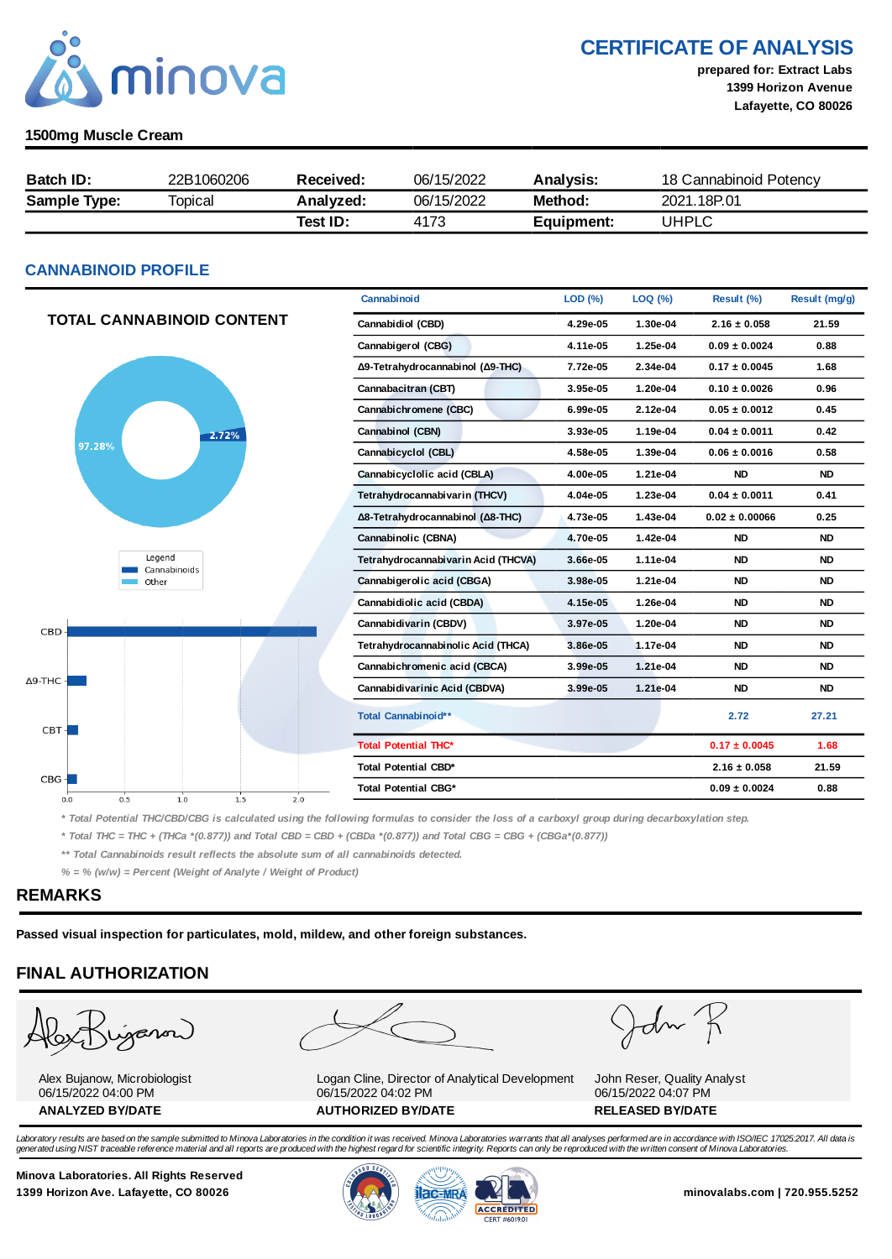

CERTIFICATE OF ANALYSIS

prepared for: Extract Labs 1399 Horizon Avenue Lafayette, CO 80026

#### 1500mg Muscle Cream

| <b>Batch ID:</b>    | 22B1060206 | Received: | 06/15/2022 | Analvsis:  | 18 Cannabinoid Potency |
|---------------------|------------|-----------|------------|------------|------------------------|
| <b>Sample Type:</b> | Topical    | Analyzed: | 06/15/2022 | Method:    | 2021.18P.01            |
|                     |            | Test ID:  | 4173       | Equipment: | UHPLC                  |

# CANNABINOID PROFILE

|                                              | Cannabinoid                         | LOD (%)  | $LOQ$ (%) | Result (%)         | Result (mg/g) |
|----------------------------------------------|-------------------------------------|----------|-----------|--------------------|---------------|
| <b>TOTAL CANNABINOID CONTENT</b>             | Cannabidiol (CBD)                   | 4.29e-05 | 1.30e-04  | $2.16 \pm 0.058$   | 21.59         |
|                                              | Cannabigerol (CBG)                  | 4.11e-05 | 1.25e-04  | $0.09 \pm 0.0024$  | 0.88          |
|                                              | Δ9-Tetrahydrocannabinol (Δ9-THC)    | 7.72e-05 | 2.34e-04  | $0.17 \pm 0.0045$  | 1.68          |
|                                              | Cannabacitran (CBT)                 | 3.95e-05 | 1.20e-04  | $0.10 \pm 0.0026$  | 0.96          |
|                                              | Cannabichromene (CBC)               | 6.99e-05 | 2.12e-04  | $0.05 \pm 0.0012$  | 0.45          |
| 2.72%                                        | Cannabinol (CBN)                    | 3.93e-05 | 1.19e-04  | $0.04 \pm 0.0011$  | 0.42          |
| 97.28%                                       | Cannabicyclol (CBL)                 | 4.58e-05 | 1.39e-04  | $0.06 \pm 0.0016$  | 0.58          |
|                                              | Cannabicyclolic acid (CBLA)         | 4.00e-05 | 1.21e-04  | <b>ND</b>          | <b>ND</b>     |
|                                              | Tetrahydrocannabivarin (THCV)       | 4.04e-05 | 1.23e-04  | $0.04 \pm 0.0011$  | 0.41          |
|                                              | Δ8-Tetrahydrocannabinol (Δ8-THC)    | 4.73e-05 | 1.43e-04  | $0.02 \pm 0.00066$ | 0.25          |
|                                              | Cannabinolic (CBNA)                 | 4.70e-05 | 1.42e-04  | <b>ND</b>          | ND.           |
| Legend<br>Cannabinoids                       | Tetrahydrocannabivarin Acid (THCVA) | 3.66e-05 | 1.11e-04  | <b>ND</b>          | <b>ND</b>     |
| Other                                        | Cannabigerolic acid (CBGA)          | 3.98e-05 | 1.21e-04  | <b>ND</b>          | <b>ND</b>     |
|                                              | Cannabidiolic acid (CBDA)           | 4.15e-05 | 1.26e-04  | <b>ND</b>          | <b>ND</b>     |
| CBD                                          | Cannabidivarin (CBDV)               | 3.97e-05 | 1.20e-04  | <b>ND</b>          | <b>ND</b>     |
|                                              | Tetrahydrocannabinolic Acid (THCA)  | 3.86e-05 | 1.17e-04  | <b>ND</b>          | <b>ND</b>     |
|                                              | Cannabichromenic acid (CBCA)        | 3.99e-05 | 1.21e-04  | <b>ND</b>          | <b>ND</b>     |
| $\Delta$ 9-THC -                             | Cannabidivarinic Acid (CBDVA)       | 3.99e-05 | 1.21e-04  | <b>ND</b>          | <b>ND</b>     |
| $CBT -$                                      | Total Cannabinoid**                 |          |           | 2.72               | 27.21         |
|                                              | <b>Total Potential THC*</b>         |          |           | $0.17 \pm 0.0045$  | 1.68          |
|                                              | <b>Total Potential CBD*</b>         |          |           | $2.16 \pm 0.058$   | 21.59         |
| $CBG -$<br>0.5<br>$1.0$<br>1.5<br>2.0<br>0.0 | Total Potential CBG*                |          |           | $0.09 \pm 0.0024$  | 0.88          |
|                                              |                                     |          |           |                    |               |

\* Total Potential THC/CBD/CBG is calculated using the following formulas to consider the loss of a carboxyl group during decarboxylation step.

\* Total THC = THC + (THCa \*(0.877)) and Total CBD = CBD + (CBDa \*(0.877)) and Total CBG = CBG + (CBGa\*(0.877))

\*\* Total Cannabinoids result reflects the absolute sum of all cannabinoids detected.

 $% =$  % (w/w) = Percent (Weight of Analyte / Weight of Product)

# REMARKS

Passed visual inspection for particulates, mold, mildew, and other foreign substances.

# FINAL AUTHORIZATION

ganon)

Alex Bujanow, Microbiologist 06/15/2022 04:00 PM



Logan Cline, Director of Analytical Development 06/15/2022 04:02 PM ANALYZED BY/DATE AUTHORIZED BY/DATE AUTHORIZED BY/DATE



John Reser, Quality Analyst 06/15/2022 04:07 PM

Laboratory results are based on the sample submitted to Minova Laboratories in the condition it was received. Minova Laboratories warrants that all analyses performed are in accordance with ISO/IEC 17025:2017. All data is generated using NIST traceable reference material and all reports are produced with the highest regard for scientific integrity. Reports can only be reproduced with the written consent of Minova Laboratories.

Minova Laboratories. All Rights Reserved 1399 Horizon Ave. Lafayette, CO 80026 **1300 Minovalabs.com | 720.955.5252** minovalabs.com | 720.955.5252



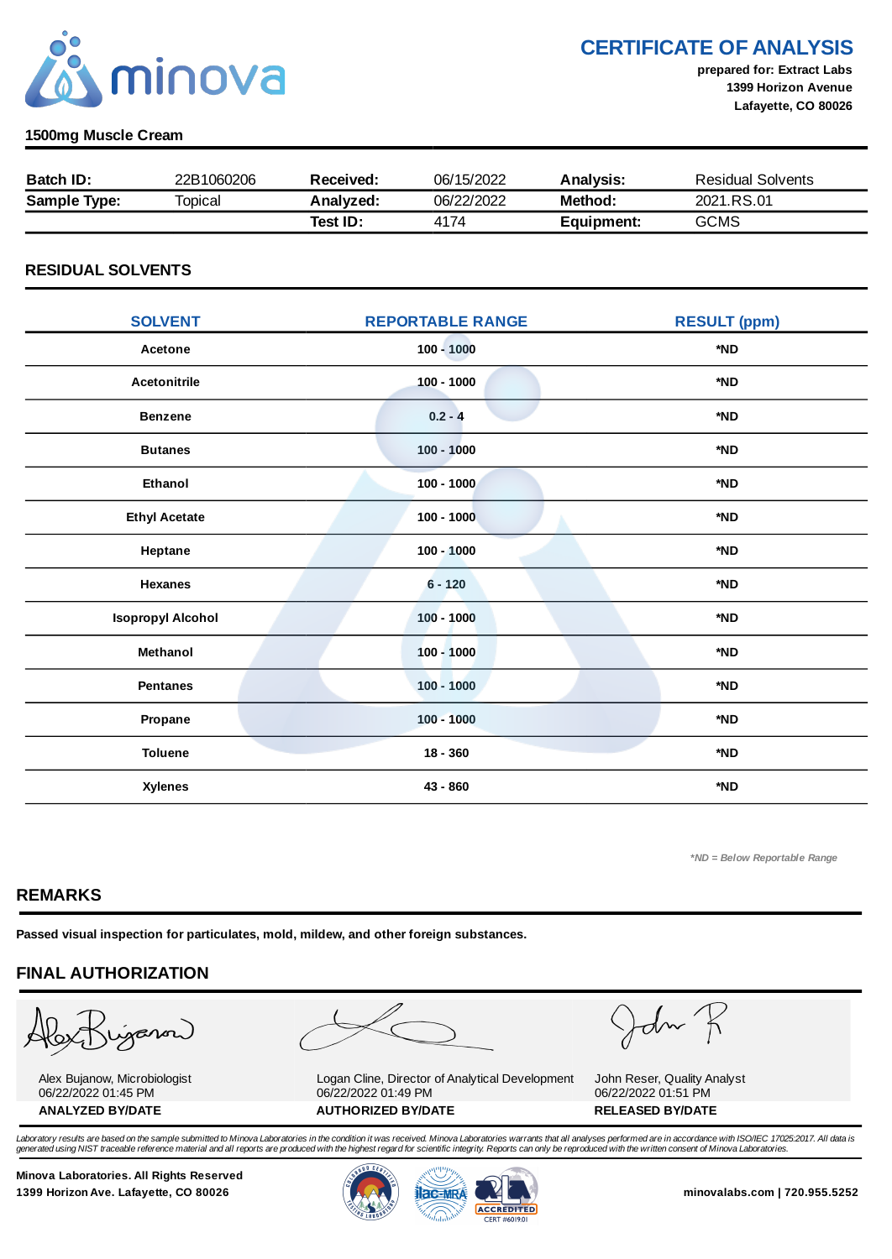

CERTIFICATE OF ANALYSIS

prepared for: Extract Labs 1399 Horizon Avenue Lafayette, CO 80026

#### 1500mg Muscle Cream

| <b>Batch ID:</b>    | 22B1060206 | Received: | 06/15/2022 | Analysis:  | <b>Residual Solvents</b> |
|---------------------|------------|-----------|------------|------------|--------------------------|
| <b>Sample Type:</b> | Topical    | Analvzed: | 06/22/2022 | Method:    | 2021.RS.01               |
|                     |            | Test ID:  | 4174       | Equipment: | <b>GCMS</b>              |

# RESIDUAL SOLVENTS

| <b>SOLVENT</b>           | <b>REPORTABLE RANGE</b> | <b>RESULT (ppm)</b> |
|--------------------------|-------------------------|---------------------|
| Acetone                  | $100 - 1000$            | *ND                 |
| <b>Acetonitrile</b>      | $100 - 1000$            | *ND                 |
| <b>Benzene</b>           | $0.2 - 4$               | *ND                 |
| <b>Butanes</b>           | $100 - 1000$            | *ND                 |
| Ethanol                  | $100 - 1000$            | *ND                 |
| <b>Ethyl Acetate</b>     | $100 - 1000$            | *ND                 |
| Heptane                  | $100 - 1000$            | *ND                 |
| <b>Hexanes</b>           | $6 - 120$               | *ND                 |
| <b>Isopropyl Alcohol</b> | $100 - 1000$            | *ND                 |
| Methanol                 | $100 - 1000$            | *ND                 |
| <b>Pentanes</b>          | $100 - 1000$            | *ND                 |
| Propane                  | $100 - 1000$            | *ND                 |
| <b>Toluene</b>           | $18 - 360$              | *ND                 |
| <b>Xylenes</b>           | 43 - 860                | *ND                 |

\*ND = Below Reportable Range

# REMARKS

Passed visual inspection for particulates, mold, mildew, and other foreign substances.

# FINAL AUTHORIZATION

'jaron)

Alex Bujanow, Microbiologist 06/22/2022 01:45 PM



Logan Cline, Director of Analytical Development 06/22/2022 01:49 PM ANALYZED BY/DATE AUTHORIZED BY/DATE AUTHORIZED BY/DATE

John K

John Reser, Quality Analyst 06/22/2022 01:51 PM

Laboratory results are based on the sample submitted to Minova Laboratories in the condition it was received. Minova Laboratories warrants that all analyses performed are in accordance with ISO/IEC 17025:2017. All data is generated using NIST traceable reference material and all reports are produced with the highest regard for scientific integrity. Reports can only be reproduced with the written consent of Minova Laboratories.

Minova Laboratories. All Rights Reserved 1399 Horizon Ave. Lafayette, CO 80026 **1300 Minovalabs.com | 720.955.5252** minovalabs.com | 720.955.5252



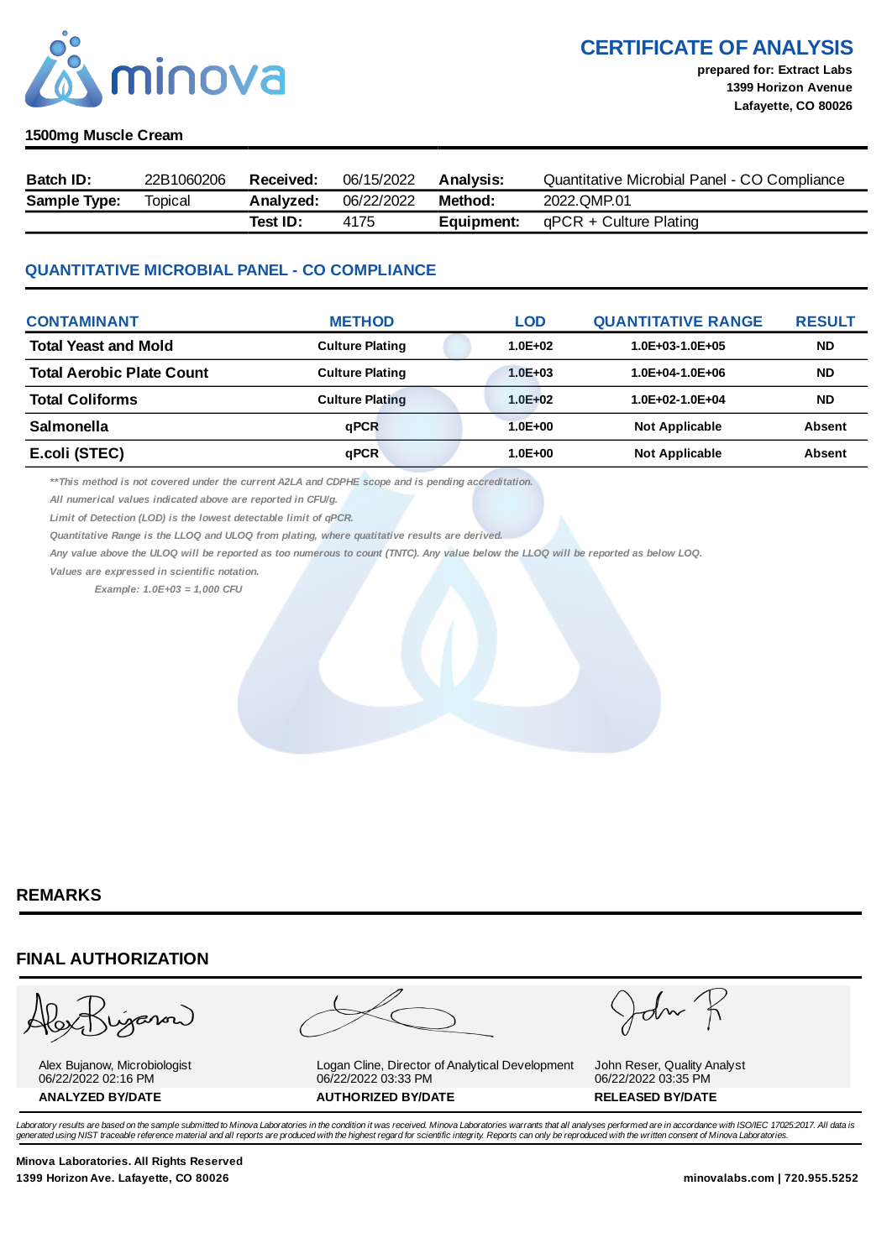

CERTIFICATE OF ANALYSIS

#### 1500mg Muscle Cream

| Batch ID:           | 22B1060206 | <b>Received:</b> | 06/15/2022 | <b>Analysis:</b> | Quantitative Microbial Panel - CO Compliance |
|---------------------|------------|------------------|------------|------------------|----------------------------------------------|
| <b>Sample Type:</b> | Topical    | Analvzed:        | 06/22/2022 | Method:          | 2022.OMP.01                                  |
|                     |            | Test ID:         | 4175       | Equipment:       | qPCR + Culture Plating                       |

# QUANTITATIVE MICROBIAL PANEL - CO COMPLIANCE

| <b>CONTAMINANT</b>               | <b>METHOD</b>          | LOD         | <b>QUANTITATIVE RANGE</b> | <b>RESULT</b> |
|----------------------------------|------------------------|-------------|---------------------------|---------------|
| <b>Total Yeast and Mold</b>      | <b>Culture Plating</b> | $1.0E + 02$ | $1.0E + 03 - 1.0E + 05$   | <b>ND</b>     |
| <b>Total Aerobic Plate Count</b> | <b>Culture Plating</b> | $1.0E + 03$ | $1.0E + 04 - 1.0E + 06$   | <b>ND</b>     |
| <b>Total Coliforms</b>           | <b>Culture Plating</b> | $1.0E + 02$ | $1.0E+02-1.0E+04$         | <b>ND</b>     |
| Salmonella                       | qPCR                   | $1.0E + 00$ | <b>Not Applicable</b>     | <b>Absent</b> |
| E.coli (STEC)                    | qPCR                   | $1.0E + 00$ | <b>Not Applicable</b>     | <b>Absent</b> |

\*\*This method is not covered under the current A2LA and CDPHE scope and is pending accreditation.

All numerical values indicated above are reported in CFU/g.

Limit of Detection (LOD) is the lowest detectable limit of qPCR.

Quantitative Range is the LLOQ and ULOQ from plating, where quatitative results are derived.

Any value above the ULOQ will be reported as too numerous to count (TNTC). Any value below the LLOQ will be reported as below LOQ.

Values are expressed in scientific notation.

Example: 1.0E+03 = 1,000 CFU

# REMARKS

# FINAL AUTHORIZATION

ganon

Alex Bujanow, Microbiologist 06/22/2022 02:16 PM

Logan Cline, Director of Analytical Development 06/22/2022 03:33 PM ANALYZED BY/DATE AUTHORIZED BY/DATE AUTHORIZED BY/DATE

John Reser, Quality Analyst 06/22/2022 03:35 PM

Laboratory results are based on the sample submitted to Minova Laboratories in the condition it was received. Minova Laboratories warrants that all analyses performed are in accordance with ISO/IEC 17025:2017. All data is *generated using NIST traceable reference material and all reports are produced with the highest regard for scientific integrity. Reports can only be reproduced with the written consent of Minova Laboratories.* 

Minova Laboratories. All Rights Reserved 1399 Horizon Ave. Lafayette, CO 80026 minovalabs.com | 720.955.5252